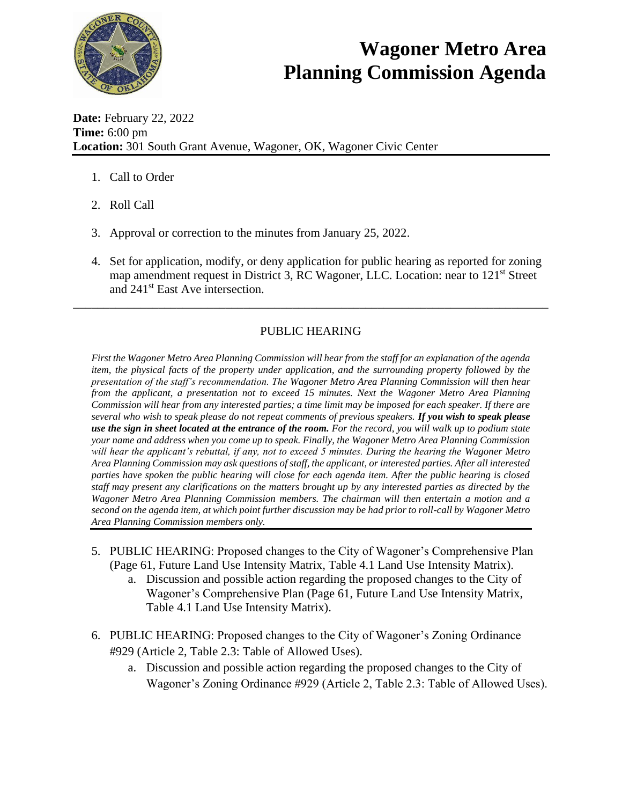

## **Wagoner Metro Area Planning Commission Agenda**

**Date:** February 22, 2022 **Time:** 6:00 pm **Location:** 301 South Grant Avenue, Wagoner, OK, Wagoner Civic Center

- 1. Call to Order
- 2. Roll Call
- 3. Approval or correction to the minutes from January 25, 2022.
- 4. Set for application, modify, or deny application for public hearing as reported for zoning map amendment request in District 3, RC Wagoner, LLC. Location: near to 121<sup>st</sup> Street and 241st East Ave intersection.

## PUBLIC HEARING

\_\_\_\_\_\_\_\_\_\_\_\_\_\_\_\_\_\_\_\_\_\_\_\_\_\_\_\_\_\_\_\_\_\_\_\_\_\_\_\_\_\_\_\_\_\_\_\_\_\_\_\_\_\_\_\_\_\_\_\_\_\_\_\_\_\_\_\_\_\_\_\_\_\_\_\_\_\_

*First the Wagoner Metro Area Planning Commission will hear from the staff for an explanation of the agenda item, the physical facts of the property under application, and the surrounding property followed by the presentation of the staff's recommendation. The Wagoner Metro Area Planning Commission will then hear from the applicant, a presentation not to exceed 15 minutes. Next the Wagoner Metro Area Planning Commission will hear from any interested parties; a time limit may be imposed for each speaker. If there are several who wish to speak please do not repeat comments of previous speakers. If you wish to speak please use the sign in sheet located at the entrance of the room. For the record, you will walk up to podium state your name and address when you come up to speak. Finally, the Wagoner Metro Area Planning Commission will hear the applicant's rebuttal, if any, not to exceed 5 minutes. During the hearing the Wagoner Metro Area Planning Commission may ask questions of staff, the applicant, or interested parties. After all interested parties have spoken the public hearing will close for each agenda item. After the public hearing is closed staff may present any clarifications on the matters brought up by any interested parties as directed by the Wagoner Metro Area Planning Commission members. The chairman will then entertain a motion and a second on the agenda item, at which point further discussion may be had prior to roll-call by Wagoner Metro Area Planning Commission members only.* 

- 5. PUBLIC HEARING: Proposed changes to the City of Wagoner's Comprehensive Plan (Page 61, Future Land Use Intensity Matrix, Table 4.1 Land Use Intensity Matrix).
	- a. Discussion and possible action regarding the proposed changes to the City of Wagoner's Comprehensive Plan (Page 61, Future Land Use Intensity Matrix, Table 4.1 Land Use Intensity Matrix).
- 6. PUBLIC HEARING: Proposed changes to the City of Wagoner's Zoning Ordinance #929 (Article 2, Table 2.3: Table of Allowed Uses).
	- a. Discussion and possible action regarding the proposed changes to the City of Wagoner's Zoning Ordinance #929 (Article 2, Table 2.3: Table of Allowed Uses).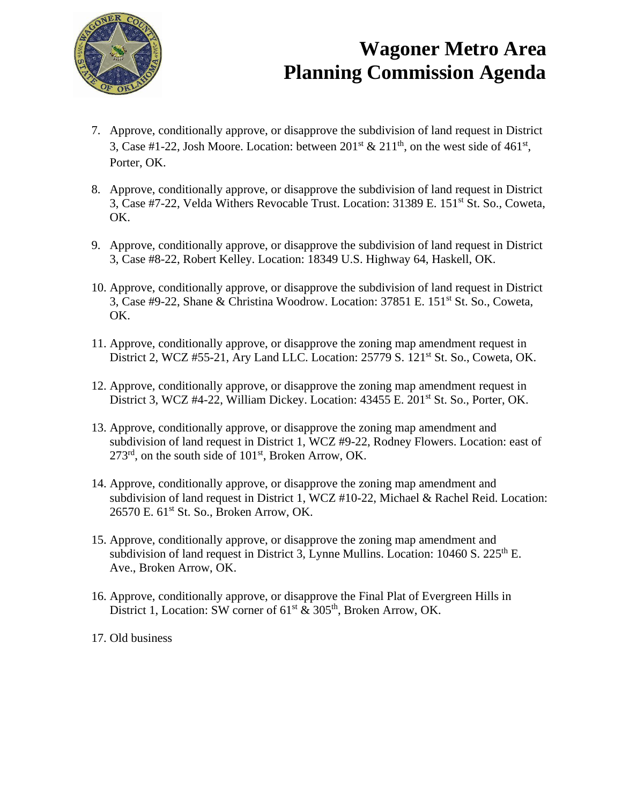

## **Wagoner Metro Area Planning Commission Agenda**

- 7. Approve, conditionally approve, or disapprove the subdivision of land request in District 3, Case #1-22, Josh Moore. Location: between  $201<sup>st</sup>$  &  $211<sup>th</sup>$ , on the west side of 461<sup>st</sup>, Porter, OK.
- 8. Approve, conditionally approve, or disapprove the subdivision of land request in District 3, Case #7-22, Velda Withers Revocable Trust. Location: 31389 E. 151st St. So., Coweta, OK.
- 9. Approve, conditionally approve, or disapprove the subdivision of land request in District 3, Case #8-22, Robert Kelley. Location: 18349 U.S. Highway 64, Haskell, OK.
- 10. Approve, conditionally approve, or disapprove the subdivision of land request in District 3, Case #9-22, Shane & Christina Woodrow. Location: 37851 E. 151st St. So., Coweta, OK.
- 11. Approve, conditionally approve, or disapprove the zoning map amendment request in District 2, WCZ #55-21, Ary Land LLC. Location:  $25779$  S.  $121<sup>st</sup>$  St. So., Coweta, OK.
- 12. Approve, conditionally approve, or disapprove the zoning map amendment request in District 3, WCZ #4-22, William Dickey. Location: 43455 E. 201<sup>st</sup> St. So., Porter, OK.
- 13. Approve, conditionally approve, or disapprove the zoning map amendment and subdivision of land request in District 1, WCZ #9-22, Rodney Flowers. Location: east of  $273<sup>rd</sup>$ , on the south side of  $101<sup>st</sup>$ , Broken Arrow, OK.
- 14. Approve, conditionally approve, or disapprove the zoning map amendment and subdivision of land request in District 1, WCZ #10-22, Michael & Rachel Reid. Location: 26570 E. 61<sup>st</sup> St. So., Broken Arrow, OK.
- 15. Approve, conditionally approve, or disapprove the zoning map amendment and subdivision of land request in District 3, Lynne Mullins. Location:  $10460 S$ .  $225<sup>th</sup> E$ . Ave., Broken Arrow, OK.
- 16. Approve, conditionally approve, or disapprove the Final Plat of Evergreen Hills in District 1, Location: SW corner of  $61<sup>st</sup>$  &  $305<sup>th</sup>$ , Broken Arrow, OK.
- 17. Old business